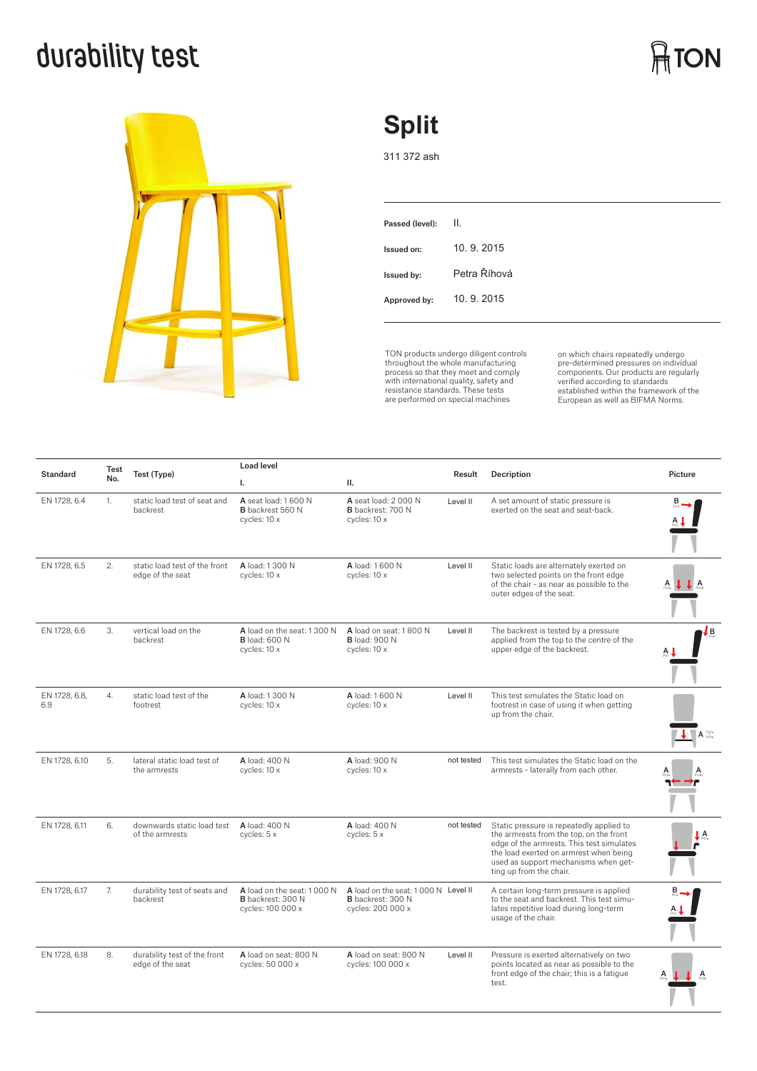# **durability test**



## **Split**

311 372 ash

TON products undergo diligent controls throughout the whole manufacturing process so that they meet and comply with international quality, safety and resistance standards. These tests are performed on special machines

on which chairs repeatedly undergo<br>pre-determined pressures on individual<br>components. Our products are regularly<br>verified according to standards<br>European as well as BIFMA Norms.

| <b>Standard</b>      | Test<br>No.    | Test (Type)                                       | <b>Load level</b>                                                            |                                                                                      |            |                                                                                                                                                                                                                                               |                                 |
|----------------------|----------------|---------------------------------------------------|------------------------------------------------------------------------------|--------------------------------------------------------------------------------------|------------|-----------------------------------------------------------------------------------------------------------------------------------------------------------------------------------------------------------------------------------------------|---------------------------------|
|                      |                |                                                   | L.                                                                           | П.                                                                                   | Result     | Decription                                                                                                                                                                                                                                    | Picture                         |
| EN 1728, 6.4         | $\mathbf{1}$ . | static load test of seat and<br>backrest          | A seat load: 1 600 N<br><b>B</b> backrest 560 N<br>cycles: 10 x              | A seat load: 2 000 N<br><b>B</b> backrest: 700 N<br>cycles: 10 x                     | Level II   | A set amount of static pressure is<br>exerted on the seat and seat-back.                                                                                                                                                                      |                                 |
| EN 1728, 6.5         | 2.             | static load test of the front<br>edge of the seat | A load: 1 300 N<br>cycles: 10 x                                              | A load: 1600 N<br>cycles: 10 x                                                       | Level II   | Static loads are alternately exerted on<br>two selected points on the front edge<br>of the chair - as near as possible to the<br>outer edges of the seat.                                                                                     |                                 |
| EN 1728, 6.6         | 3.             | vertical load on the<br>backrest                  | A load on the seat: 1 300 N<br><b>B</b> load: 600 N<br>cycles: 10 x          | A load on seat: 1800 N<br><b>B</b> load: 900 N<br>cycles: 10 x                       | Level II   | The backrest is tested by a pressure<br>applied from the top to the centre of the<br>upper edge of the backrest.                                                                                                                              | Lв                              |
| EN 1728, 6.8,<br>6.9 | 4.             | static load test of the<br>footrest               | A load: 1.300 N<br>cycles: 10 x                                              | A load: 1600 N<br>cycles: 10 x                                                       | Level II   | This test simulates the Static load on<br>footrest in case of using it when getting<br>up from the chair.                                                                                                                                     | $A_{\text{pvin}}^{\text{PV1a}}$ |
| EN 1728, 6.10        | 5.             | lateral static load test of<br>the armrests       | A load: 400 N<br>cycles: 10 x                                                | A load: 900 N<br>cycles: 10 x                                                        | not tested | This test simulates the Static load on the<br>armrests - laterally from each other.                                                                                                                                                           |                                 |
| EN 1728, 6.11        | 6.             | downwards static load test<br>of the armrests     | A load: 400 N<br>cycles: 5 x                                                 | A load: 400 N<br>cycles: 5 x                                                         | not tested | Static pressure is repeatedly applied to<br>the armrests from the top, on the front<br>edge of the armrests. This test simulates<br>the load exerted on armrest when being<br>used as support mechanisms when get-<br>ting up from the chair. | A                               |
| EN 1728, 6.17        | 7.             | durability test of seats and<br>backrest          | A load on the seat: 1 000 N<br><b>B</b> backrest: 300 N<br>cycles: 100 000 x | A load on the seat: 1000 N Level II<br><b>B</b> backrest: 300 N<br>cycles: 200 000 x |            | A certain long-term pressure is applied<br>to the seat and backrest. This test simu-<br>lates repetitive load during long-term<br>usage of the chair.                                                                                         |                                 |
| EN 1728, 6.18        | 8.             | durability test of the front<br>edge of the seat  | A load on seat: 800 N<br>cycles: 50 000 x                                    | A load on seat: 800 N<br>cycles: 100 000 x                                           | Level II   | Pressure is exerted alternatively on two<br>points located as near as possible to the<br>front edge of the chair; this is a fatique<br>test.                                                                                                  | А                               |

**ATON**